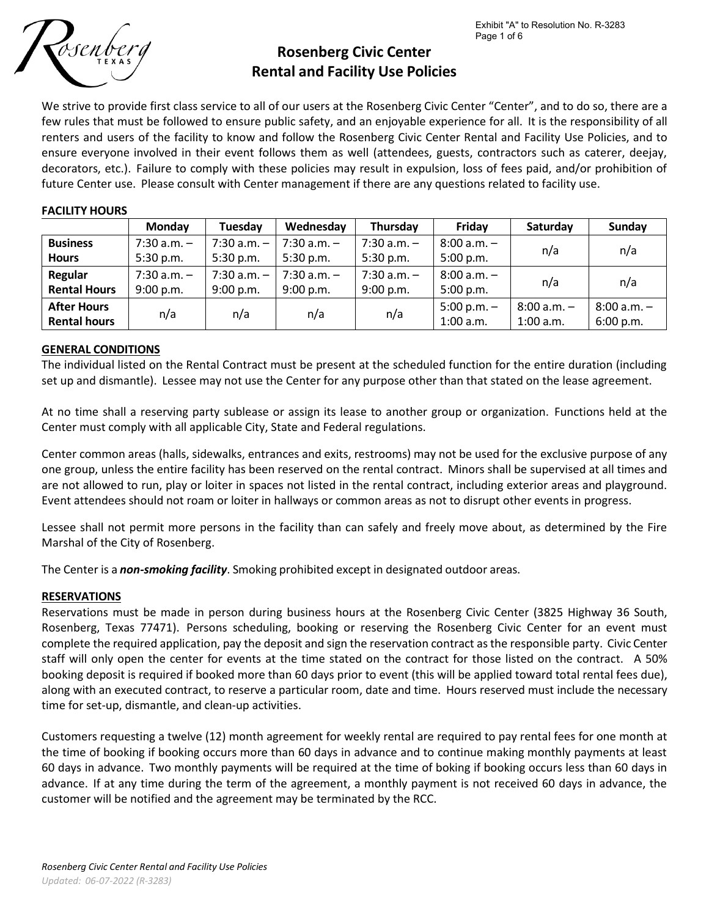

# **Rosenberg Civic Center Rental and Facility Use Policies**

We strive to provide first class service to all of our users at the Rosenberg Civic Center "Center", and to do so, there are a few rules that must be followed to ensure public safety, and an enjoyable experience for all. It is the responsibility of all renters and users of the facility to know and follow the Rosenberg Civic Center Rental and Facility Use Policies, and to ensure everyone involved in their event follows them as well (attendees, guests, contractors such as caterer, deejay, decorators, etc.). Failure to comply with these policies may result in expulsion, loss of fees paid, and/or prohibition of future Center use. Please consult with Center management if there are any questions related to facility use.

## **FACILITY HOURS**

|                     | <b>Monday</b>   | <b>Tuesday</b>  | Wednesday       | Thursday      | Friday        | Saturday      | Sunday        |
|---------------------|-----------------|-----------------|-----------------|---------------|---------------|---------------|---------------|
| <b>Business</b>     | $7:30$ a.m. $-$ | $7:30$ a.m. $-$ | $7:30$ a.m. $-$ | $7:30 a.m. -$ | $8:00 a.m. -$ | n/a           | n/a           |
| <b>Hours</b>        | 5:30 p.m.       | 5:30 p.m.       | 5:30 p.m.       | $5:30$ p.m.   | 5:00 p.m.     |               |               |
| Regular             | $7:30$ a.m. $-$ | $7:30 a.m. -$   | $7:30$ a.m. $-$ | $7:30 a.m. -$ | $8:00 a.m. -$ |               |               |
| <b>Rental Hours</b> | 9:00 p.m.       | 9:00 p.m.       | $9:00$ p.m.     | 9:00 p.m.     | 5:00 p.m.     | n/a           | n/a           |
| <b>After Hours</b>  | n/a             | n/a             | n/a             | n/a           | $5:00 p.m. -$ | $8:00 a.m. -$ | $8:00 a.m. -$ |
| <b>Rental hours</b> |                 |                 |                 |               | $1:00$ a.m.   | $1:00$ a.m.   | 6:00 p.m.     |

# **GENERAL CONDITIONS**

The individual listed on the Rental Contract must be present at the scheduled function for the entire duration (including set up and dismantle). Lessee may not use the Center for any purpose other than that stated on the lease agreement.

At no time shall a reserving party sublease or assign its lease to another group or organization. Functions held at the Center must comply with all applicable City, State and Federal regulations.

Center common areas (halls, sidewalks, entrances and exits, restrooms) may not be used for the exclusive purpose of any one group, unless the entire facility has been reserved on the rental contract. Minors shall be supervised at all times and are not allowed to run, play or loiter in spaces not listed in the rental contract, including exterior areas and playground. Event attendees should not roam or loiter in hallways or common areas as not to disrupt other events in progress.

Lessee shall not permit more persons in the facility than can safely and freely move about, as determined by the Fire Marshal of the City of Rosenberg.

The Center is a *non‐smoking facility*. Smoking prohibited except in designated outdoor areas.

# **RESERVATIONS**

Reservations must be made in person during business hours at the Rosenberg Civic Center (3825 Highway 36 South, Rosenberg, Texas 77471). Persons scheduling, booking or reserving the Rosenberg Civic Center for an event must complete the required application, pay the deposit and sign the reservation contract asthe responsible party. Civic Center staff will only open the center for events at the time stated on the contract for those listed on the contract. A 50% booking deposit is required if booked more than 60 days prior to event (this will be applied toward total rental fees due), along with an executed contract, to reserve a particular room, date and time. Hours reserved must include the necessary time for set-up, dismantle, and clean-up activities.

Customers requesting a twelve (12) month agreement for weekly rental are required to pay rental fees for one month at the time of booking if booking occurs more than 60 days in advance and to continue making monthly payments at least 60 days in advance. Two monthly payments will be required at the time of boking if booking occurs less than 60 days in advance. If at any time during the term of the agreement, a monthly payment is not received 60 days in advance, the customer will be notified and the agreement may be terminated by the RCC.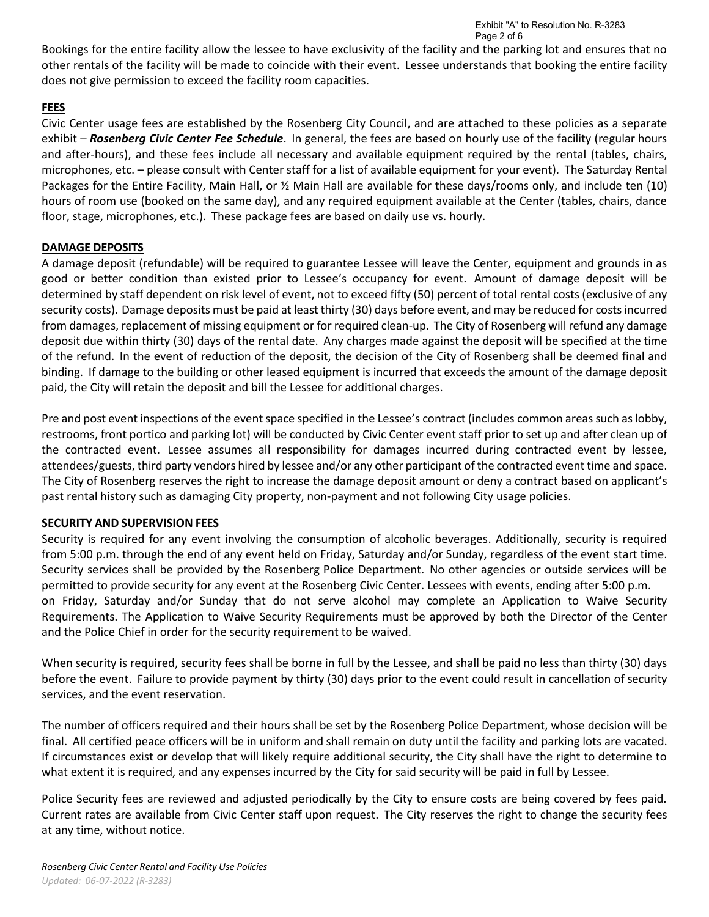Bookings for the entire facility allow the lessee to have exclusivity of the facility and the parking lot and ensures that no other rentals of the facility will be made to coincide with their event. Lessee understands that booking the entire facility does not give permission to exceed the facility room capacities.

# **FEES**

Civic Center usage fees are established by the Rosenberg City Council, and are attached to these policies as a separate exhibit – *Rosenberg Civic Center Fee Schedule*. In general, the fees are based on hourly use of the facility (regular hours and after-hours), and these fees include all necessary and available equipment required by the rental (tables, chairs, microphones, etc. – please consult with Center staff for a list of available equipment for your event). The Saturday Rental Packages for the Entire Facility, Main Hall, or ½ Main Hall are available for these days/rooms only, and include ten (10) hours of room use (booked on the same day), and any required equipment available at the Center (tables, chairs, dance floor, stage, microphones, etc.). These package fees are based on daily use vs. hourly.

# **DAMAGE DEPOSITS**

A damage deposit (refundable) will be required to guarantee Lessee will leave the Center, equipment and grounds in as good or better condition than existed prior to Lessee's occupancy for event. Amount of damage deposit will be determined by staff dependent on risk level of event, not to exceed fifty (50) percent of total rental costs (exclusive of any security costs). Damage deposits must be paid at least thirty (30) days before event, and may be reduced for costsincurred from damages, replacement of missing equipment or for required clean-up. The City of Rosenberg will refund any damage deposit due within thirty (30) days of the rental date. Any charges made against the deposit will be specified at the time of the refund. In the event of reduction of the deposit, the decision of the City of Rosenberg shall be deemed final and binding. If damage to the building or other leased equipment is incurred that exceeds the amount of the damage deposit paid, the City will retain the deposit and bill the Lessee for additional charges.

Pre and post event inspections of the event space specified in the Lessee's contract (includes common areas such as lobby, restrooms, front portico and parking lot) will be conducted by Civic Center event staff prior to set up and after clean up of the contracted event. Lessee assumes all responsibility for damages incurred during contracted event by lessee, attendees/guests, third party vendors hired by lessee and/or any other participant of the contracted event time and space. The City of Rosenberg reserves the right to increase the damage deposit amount or deny a contract based on applicant's past rental history such as damaging City property, non-payment and not following City usage policies.

# **SECURITY AND SUPERVISION FEES**

Security is required for any event involving the consumption of alcoholic beverages. Additionally, security is required from 5:00 p.m. through the end of any event held on Friday, Saturday and/or Sunday, regardless of the event start time. Security services shall be provided by the Rosenberg Police Department. No other agencies or outside services will be permitted to provide security for any event at the Rosenberg Civic Center. Lessees with events, ending after 5:00 p.m. on Friday, Saturday and/or Sunday that do not serve alcohol may complete an Application to Waive Security Requirements. The Application to Waive Security Requirements must be approved by both the Director of the Center and the Police Chief in order for the security requirement to be waived.

When security is required, security fees shall be borne in full by the Lessee, and shall be paid no less than thirty (30) days before the event. Failure to provide payment by thirty (30) days prior to the event could result in cancellation of security services, and the event reservation.

The number of officers required and their hours shall be set by the Rosenberg Police Department, whose decision will be final. All certified peace officers will be in uniform and shall remain on duty until the facility and parking lots are vacated. If circumstances exist or develop that will likely require additional security, the City shall have the right to determine to what extent it is required, and any expenses incurred by the City for said security will be paid in full by Lessee.

Police Security fees are reviewed and adjusted periodically by the City to ensure costs are being covered by fees paid. Current rates are available from Civic Center staff upon request. The City reserves the right to change the security fees at any time, without notice.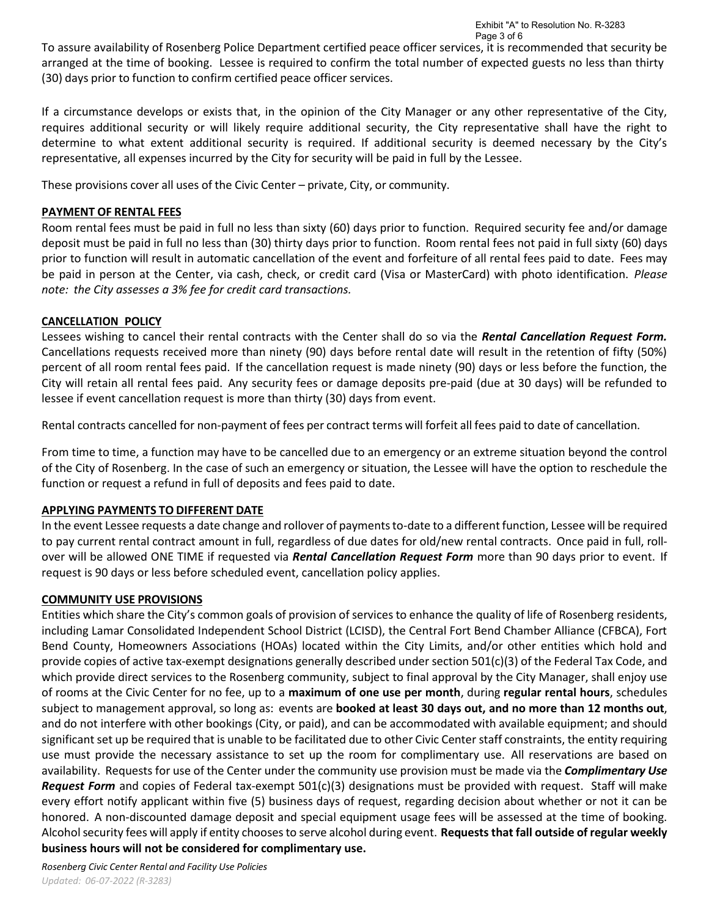To assure availability of Rosenberg Police Department certified peace officer services, it is recommended that security be arranged at the time of booking. Lessee is required to confirm the total number of expected guests no less than thirty (30) days prior to function to confirm certified peace officer services.

If a circumstance develops or exists that, in the opinion of the City Manager or any other representative of the City, requires additional security or will likely require additional security, the City representative shall have the right to determine to what extent additional security is required. If additional security is deemed necessary by the City's representative, all expenses incurred by the City for security will be paid in full by the Lessee.

These provisions cover all uses of the Civic Center – private, City, or community.

# **PAYMENT OF RENTAL FEES**

Room rental fees must be paid in full no less than sixty (60) days prior to function. Required security fee and/or damage deposit must be paid in full no less than (30) thirty days prior to function. Room rental fees not paid in full sixty (60) days prior to function will result in automatic cancellation of the event and forfeiture of all rental fees paid to date. Fees may be paid in person at the Center, via cash, check, or credit card (Visa or MasterCard) with photo identification. *Please note: the City assesses a 3% fee for credit card transactions.*

# **CANCELLATION POLICY**

Lessees wishing to cancel their rental contracts with the Center shall do so via the *Rental Cancellation Request Form.*  Cancellations requests received more than ninety (90) days before rental date will result in the retention of fifty (50%) percent of all room rental fees paid. If the cancellation request is made ninety (90) days or less before the function, the City will retain all rental fees paid. Any security fees or damage deposits pre‐paid (due at 30 days) will be refunded to lessee if event cancellation request is more than thirty (30) days from event.

Rental contracts cancelled for non‐payment of fees per contract terms will forfeit all fees paid to date of cancellation.

From time to time, a function may have to be cancelled due to an emergency or an extreme situation beyond the control of the City of Rosenberg. In the case of such an emergency or situation, the Lessee will have the option to reschedule the function or request a refund in full of deposits and fees paid to date.

# **APPLYING PAYMENTS TO DIFFERENT DATE**

In the event Lessee requests a date change and rollover of payments to-date to a different function, Lessee will be required to pay current rental contract amount in full, regardless of due dates for old/new rental contracts. Once paid in full, rollover will be allowed ONE TIME if requested via *Rental Cancellation Request Form* more than 90 days prior to event. If request is 90 days or less before scheduled event, cancellation policy applies.

# **COMMUNITY USE PROVISIONS**

Entities which share the City's common goals of provision of services to enhance the quality of life of Rosenberg residents, including Lamar Consolidated Independent School District (LCISD), the Central Fort Bend Chamber Alliance (CFBCA), Fort Bend County, Homeowners Associations (HOAs) located within the City Limits, and/or other entities which hold and provide copies of active tax‐exempt designations generally described under section 501(c)(3) of the Federal Tax Code, and which provide direct services to the Rosenberg community, subject to final approval by the City Manager, shall enjoy use of rooms at the Civic Center for no fee, up to a **maximum of one use per month**, during **regular rental hours**, schedules subject to management approval, so long as: events are **booked at least 30 days out, and no more than 12 months out**, and do not interfere with other bookings (City, or paid), and can be accommodated with available equipment; and should significant set up be required that is unable to be facilitated due to other Civic Center staff constraints, the entity requiring use must provide the necessary assistance to set up the room for complimentary use. All reservations are based on availability. Requests for use of the Center under the community use provision must be made via the *Complimentary Use Request Form* and copies of Federal tax‐exempt 501(c)(3) designations must be provided with request. Staff will make every effort notify applicant within five (5) business days of request, regarding decision about whether or not it can be honored. A non-discounted damage deposit and special equipment usage fees will be assessed at the time of booking. Alcoholsecurity fees will apply if entity choosesto serve alcohol during event. **Requests that fall outside of regular weekly business hours will not be considered for complimentary use.**

*Rosenberg Civic Center Rental and Facility Use Policies Updated: 06-07-2022 (R‐3283)*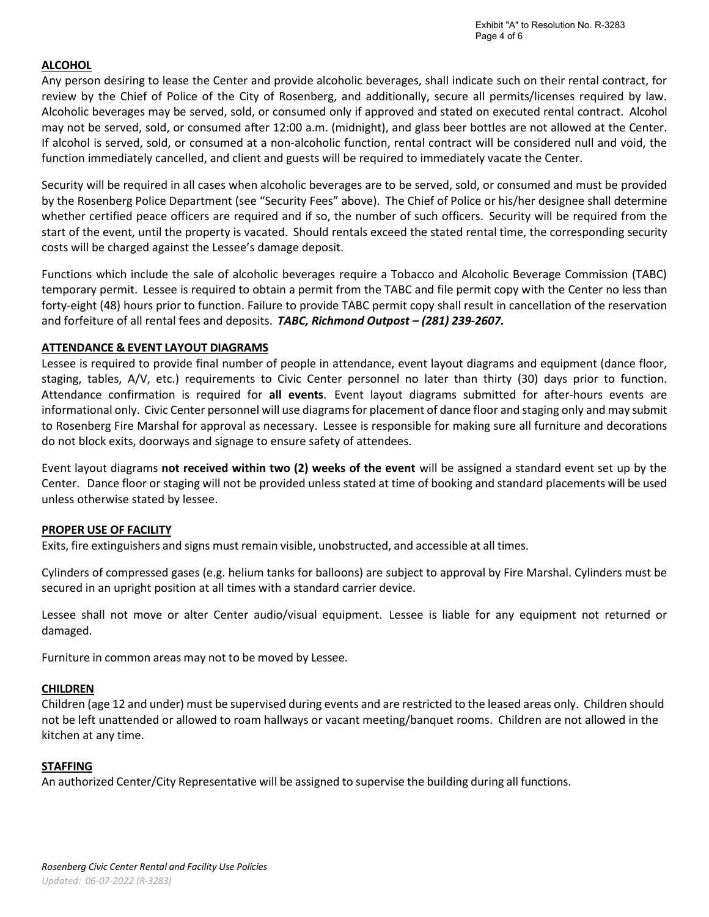# **ALCOHOL**

Any person desiring to lease the Center and provide alcoholic beverages, shall indicate such on their rental contract, for review by the Chief of Police of the City of Rosenberg, and additionally, secure all permits/licenses required by law. Alcoholic beverages may be served, sold, or consumed only if approved and stated on executed rental contract. Alcohol may not be served, sold, or consumed after 12:00 a.m. (midnight), and glass beer bottles are not allowed at the Center. If alcohol is served, sold, or consumed at a non‐alcoholic function, rental contract will be considered null and void, the function immediately cancelled, and client and guests will be required to immediately vacate the Center.

Security will be required in all cases when alcoholic beverages are to be served, sold, or consumed and must be provided by the Rosenberg Police Department (see "Security Fees" above). The Chief of Police or his/her designee shall determine whether certified peace officers are required and if so, the number of such officers. Security will be required from the start of the event, until the property is vacated. Should rentals exceed the stated rental time, the corresponding security costs will be charged against the Lessee's damage deposit.

Functions which include the sale of alcoholic beverages require a Tobacco and Alcoholic Beverage Commission (TABC) temporary permit. Lessee is required to obtain a permit from the TABC and file permit copy with the Center no less than forty-eight (48) hours prior to function. Failure to provide TABC permit copy shall result in cancellation of the reservation and forfeiture of all rental fees and deposits. *TABC, Richmond Outpost – (281) 239‐2607.*

# **ATTENDANCE & EVENT LAYOUT DIAGRAMS**

Lessee is required to provide final number of people in attendance, event layout diagrams and equipment (dance floor, staging, tables, A/V, etc.) requirements to Civic Center personnel no later than thirty (30) days prior to function. Attendance confirmation is required for **all events**. Event layout diagrams submitted for after‐hours events are informational only. Civic Center personnel will use diagrams for placement of dance floor and staging only and may submit to Rosenberg Fire Marshal for approval as necessary. Lessee is responsible for making sure all furniture and decorations do not block exits, doorways and signage to ensure safety of attendees.

Event layout diagrams **not received within two (2) weeks of the event** will be assigned a standard event set up by the Center. Dance floor or staging will not be provided unless stated at time of booking and standard placements will be used unless otherwise stated by lessee.

#### **PROPER USE OF FACILITY**

Exits, fire extinguishers and signs must remain visible, unobstructed, and accessible at all times.

Cylinders of compressed gases (e.g. helium tanks for balloons) are subject to approval by Fire Marshal. Cylinders must be secured in an upright position at all times with a standard carrier device.

Lessee shall not move or alter Center audio/visual equipment. Lessee is liable for any equipment not returned or damaged.

Furniture in common areas may not to be moved by Lessee.

#### **CHILDREN**

Children (age 12 and under) must be supervised during events and are restricted to the leased areas only. Children should not be left unattended or allowed to roam hallways or vacant meeting/banquet rooms. Children are not allowed in the kitchen at any time.

#### **STAFFING**

An authorized Center/City Representative will be assigned to supervise the building during all functions.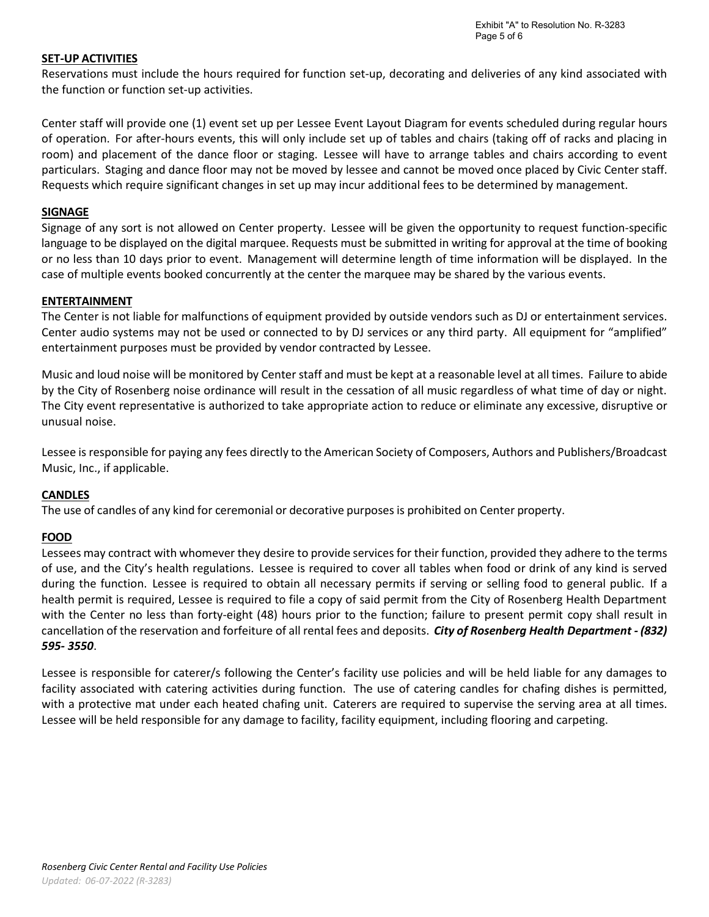## **SET‐UP ACTIVITIES**

Reservations must include the hours required for function set-up, decorating and deliveries of any kind associated with the function or function set‐up activities.

Center staff will provide one (1) event set up per Lessee Event Layout Diagram for events scheduled during regular hours of operation. For after‐hours events, this will only include set up of tables and chairs (taking off of racks and placing in room) and placement of the dance floor or staging. Lessee will have to arrange tables and chairs according to event particulars. Staging and dance floor may not be moved by lessee and cannot be moved once placed by Civic Center staff. Requests which require significant changes in set up may incur additional fees to be determined by management.

## **SIGNAGE**

Signage of any sort is not allowed on Center property. Lessee will be given the opportunity to request function‐specific language to be displayed on the digital marquee. Requests must be submitted in writing for approval at the time of booking or no less than 10 days prior to event. Management will determine length of time information will be displayed. In the case of multiple events booked concurrently at the center the marquee may be shared by the various events.

## **ENTERTAINMENT**

The Center is not liable for malfunctions of equipment provided by outside vendors such as DJ or entertainment services. Center audio systems may not be used or connected to by DJ services or any third party. All equipment for "amplified" entertainment purposes must be provided by vendor contracted by Lessee.

Music and loud noise will be monitored by Center staff and must be kept at a reasonable level at all times. Failure to abide by the City of Rosenberg noise ordinance will result in the cessation of all music regardless of what time of day or night. The City event representative is authorized to take appropriate action to reduce or eliminate any excessive, disruptive or unusual noise.

Lessee is responsible for paying any fees directly to the American Society of Composers, Authors and Publishers/Broadcast Music, Inc., if applicable.

# **CANDLES**

The use of candles of any kind for ceremonial or decorative purposes is prohibited on Center property.

# **FOOD**

Lessees may contract with whomever they desire to provide services for their function, provided they adhere to the terms of use, and the City's health regulations. Lessee is required to cover all tables when food or drink of any kind is served during the function. Lessee is required to obtain all necessary permits if serving or selling food to general public. If a health permit is required, Lessee is required to file a copy of said permit from the City of Rosenberg Health Department with the Center no less than forty-eight (48) hours prior to the function; failure to present permit copy shall result in cancellation of the reservation and forfeiture of all rental fees and deposits. *City of Rosenberg Health Department ‐ (832) 595‐ 3550*.

Lessee is responsible for caterer/s following the Center's facility use policies and will be held liable for any damages to facility associated with catering activities during function. The use of catering candles for chafing dishes is permitted, with a protective mat under each heated chafing unit. Caterers are required to supervise the serving area at all times. Lessee will be held responsible for any damage to facility, facility equipment, including flooring and carpeting.